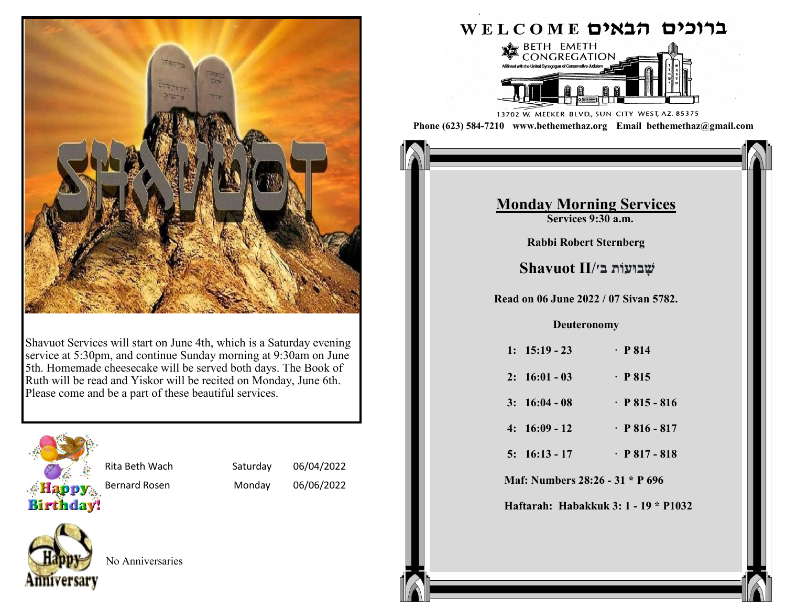

Shavuot Services will start on June 4th, which is a Saturday evening service at 5:30pm, and continue Sunday morning at 9:30am on June 5th. Homemade cheesecake will be served both days. The Book of Ruth will be read and Yiskor will be recited on Monday, June 6th. Please come and be a part of these beautiful services.



Rita Beth Wach Saturday 06/04/2022

Bernard Rosen Monday 06/06/2022



No Anniversaries

## ברוכים הבאים WELCOME



13702 W. MEEKER BLVD., SUN CITY WEST, AZ. 85375 **Phone (623) 584-7210 www.bethemethaz.org Email bethemethaz@gmail.com**

> **Saturday Morning Services Services 9:30 a.m.**

# **Monday Morning Services**

**Exervices 9:30 a.m.** 

**1: 37:1-11 · pp 141 - 142 Rabbi Robert Sternberg** 

### **2: 37:12-22 · P 142 - 143 Read on 26 February 2022 / 25 Adar II 5782. שָּ בּועֹות ב׳/II Shavuot**

**3: 37: 23-36 · P 143 144 1: 36:20 - 30 · P 377 - 378 Read on 06 June 2022 / 07 Sivan 5782.**

#### **4: 38:1-30 · P 145- 147 2: 36:31 - 38 · P 378 Deuteronomy**

| 1: $15:19 - 23$ | $\cdot$ P 814       |
|-----------------|---------------------|
| $2: 16:01 - 03$ | $\cdot$ P 815       |
| $3: 16:04 - 08$ | $\cdot$ P 815 - 816 |
| $4: 16:09 - 12$ | $\cdot$ P 816 - 817 |
| $5: 16:13 - 17$ | $\cdot$ P 817 - 818 |
|                 |                     |

**Maf: Numbers 28:26 - 31 \* P 696** 

**Haftarah: Habakkuk 3: 1 - 19 \* P1032**